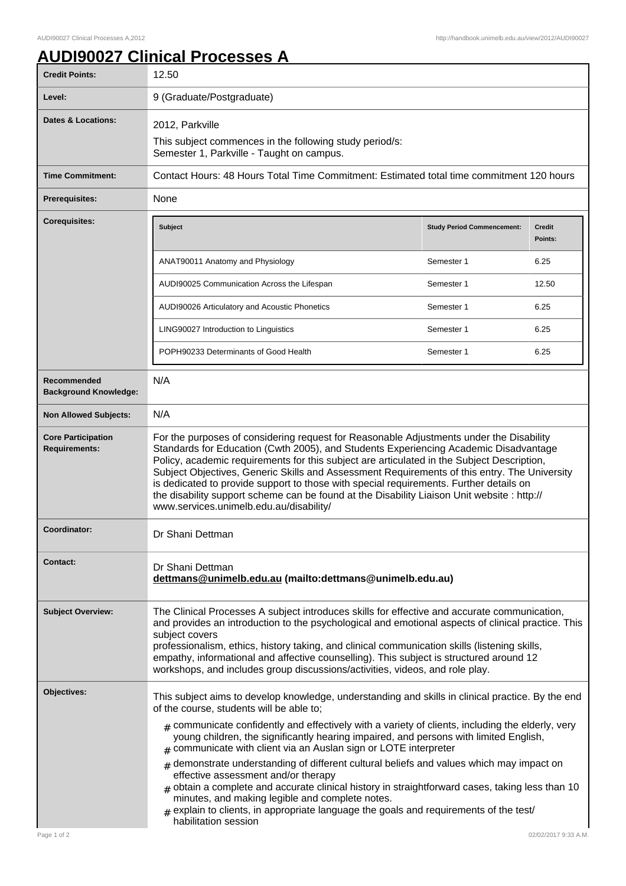٦

## **AUDI90027 Clinical Processes A**

| <b>Credit Points:</b>                             | 12.50                                                                                                                                                                                                                                                                                                                                                                                                                                                                                                                                                                                                                                                                                                                |                                   |                          |
|---------------------------------------------------|----------------------------------------------------------------------------------------------------------------------------------------------------------------------------------------------------------------------------------------------------------------------------------------------------------------------------------------------------------------------------------------------------------------------------------------------------------------------------------------------------------------------------------------------------------------------------------------------------------------------------------------------------------------------------------------------------------------------|-----------------------------------|--------------------------|
| Level:                                            | 9 (Graduate/Postgraduate)                                                                                                                                                                                                                                                                                                                                                                                                                                                                                                                                                                                                                                                                                            |                                   |                          |
| Dates & Locations:                                | 2012, Parkville<br>This subject commences in the following study period/s:<br>Semester 1, Parkville - Taught on campus.                                                                                                                                                                                                                                                                                                                                                                                                                                                                                                                                                                                              |                                   |                          |
| <b>Time Commitment:</b>                           | Contact Hours: 48 Hours Total Time Commitment: Estimated total time commitment 120 hours                                                                                                                                                                                                                                                                                                                                                                                                                                                                                                                                                                                                                             |                                   |                          |
| <b>Prerequisites:</b>                             | None                                                                                                                                                                                                                                                                                                                                                                                                                                                                                                                                                                                                                                                                                                                 |                                   |                          |
| <b>Corequisites:</b>                              | Subject                                                                                                                                                                                                                                                                                                                                                                                                                                                                                                                                                                                                                                                                                                              | <b>Study Period Commencement:</b> | <b>Credit</b><br>Points: |
|                                                   | ANAT90011 Anatomy and Physiology                                                                                                                                                                                                                                                                                                                                                                                                                                                                                                                                                                                                                                                                                     | Semester 1                        | 6.25                     |
|                                                   | AUDI90025 Communication Across the Lifespan                                                                                                                                                                                                                                                                                                                                                                                                                                                                                                                                                                                                                                                                          | Semester 1                        | 12.50                    |
|                                                   | AUDI90026 Articulatory and Acoustic Phonetics                                                                                                                                                                                                                                                                                                                                                                                                                                                                                                                                                                                                                                                                        | Semester 1                        | 6.25                     |
|                                                   | LING90027 Introduction to Linguistics                                                                                                                                                                                                                                                                                                                                                                                                                                                                                                                                                                                                                                                                                | Semester 1                        | 6.25                     |
|                                                   | POPH90233 Determinants of Good Health                                                                                                                                                                                                                                                                                                                                                                                                                                                                                                                                                                                                                                                                                | Semester 1                        | 6.25                     |
| Recommended<br><b>Background Knowledge:</b>       | N/A                                                                                                                                                                                                                                                                                                                                                                                                                                                                                                                                                                                                                                                                                                                  |                                   |                          |
| <b>Non Allowed Subjects:</b>                      | N/A                                                                                                                                                                                                                                                                                                                                                                                                                                                                                                                                                                                                                                                                                                                  |                                   |                          |
| <b>Core Participation</b><br><b>Requirements:</b> | For the purposes of considering request for Reasonable Adjustments under the Disability<br>Standards for Education (Cwth 2005), and Students Experiencing Academic Disadvantage<br>Policy, academic requirements for this subject are articulated in the Subject Description,<br>Subject Objectives, Generic Skills and Assessment Requirements of this entry. The University<br>is dedicated to provide support to those with special requirements. Further details on<br>the disability support scheme can be found at the Disability Liaison Unit website : http://<br>www.services.unimelb.edu.au/disability/                                                                                                    |                                   |                          |
| Coordinator:                                      | Dr Shani Dettman                                                                                                                                                                                                                                                                                                                                                                                                                                                                                                                                                                                                                                                                                                     |                                   |                          |
| <b>Contact:</b>                                   | Dr Shani Dettman<br>dettmans@unimelb.edu.au (mailto:dettmans@unimelb.edu.au)                                                                                                                                                                                                                                                                                                                                                                                                                                                                                                                                                                                                                                         |                                   |                          |
| <b>Subject Overview:</b>                          | The Clinical Processes A subject introduces skills for effective and accurate communication,<br>and provides an introduction to the psychological and emotional aspects of clinical practice. This<br>subject covers<br>professionalism, ethics, history taking, and clinical communication skills (listening skills,<br>empathy, informational and affective counselling). This subject is structured around 12<br>workshops, and includes group discussions/activities, videos, and role play.                                                                                                                                                                                                                     |                                   |                          |
| Objectives:                                       | This subject aims to develop knowledge, understanding and skills in clinical practice. By the end<br>of the course, students will be able to;<br>$_{\#}$ communicate confidently and effectively with a variety of clients, including the elderly, very<br>young children, the significantly hearing impaired, and persons with limited English,<br>$#$ communicate with client via an Auslan sign or LOTE interpreter<br>demonstrate understanding of different cultural beliefs and values which may impact on<br>#<br>effective assessment and/or therapy<br>$#$ obtain a complete and accurate clinical history in straightforward cases, taking less than 10<br>minutes, and making legible and complete notes. |                                   |                          |
| Page 1 of 2                                       | $_{\text{\#}}$ explain to clients, in appropriate language the goals and requirements of the test/<br>habilitation session                                                                                                                                                                                                                                                                                                                                                                                                                                                                                                                                                                                           |                                   | 02/02/2017 9:33 A.M.     |